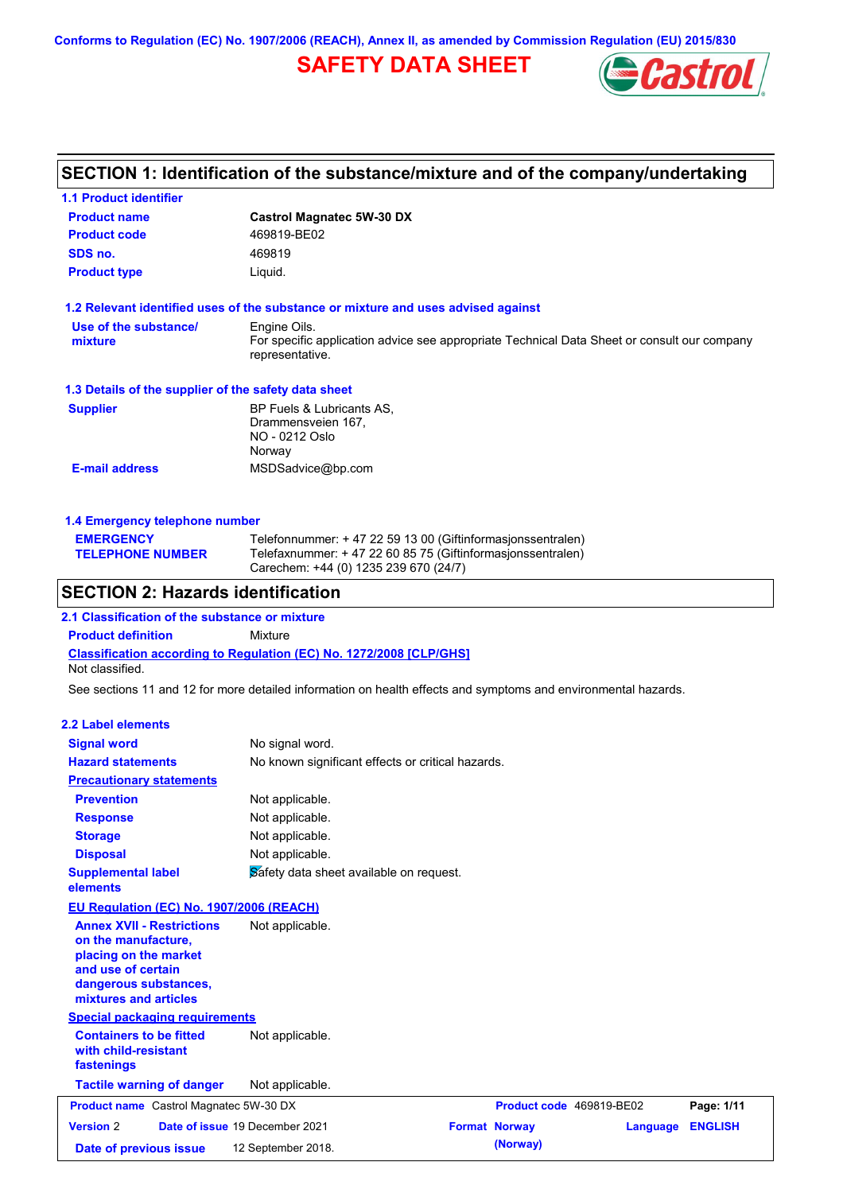**Conforms to Regulation (EC) No. 1907/2006 (REACH), Annex II, as amended by Commission Regulation (EU) 2015/830**

# **SAFETY DATA SHEET**



# **SECTION 1: Identification of the substance/mixture and of the company/undertaking**

| <b>1.1 Product identifier</b>                        |                                                                                                                                                                   |
|------------------------------------------------------|-------------------------------------------------------------------------------------------------------------------------------------------------------------------|
| <b>Product name</b>                                  | <b>Castrol Magnatec 5W-30 DX</b>                                                                                                                                  |
| <b>Product code</b>                                  | 469819-BE02                                                                                                                                                       |
| SDS no.                                              | 469819                                                                                                                                                            |
| <b>Product type</b>                                  | Liquid.                                                                                                                                                           |
|                                                      | 1.2 Relevant identified uses of the substance or mixture and uses advised against                                                                                 |
| Use of the substance/<br>mixture                     | Engine Oils.<br>For specific application advice see appropriate Technical Data Sheet or consult our company<br>representative.                                    |
| 1.3 Details of the supplier of the safety data sheet |                                                                                                                                                                   |
| <b>Supplier</b>                                      | BP Fuels & Lubricants AS,<br>Drammensveien 167,<br>NO - 0212 Oslo<br>Norway                                                                                       |
| <b>E-mail address</b>                                | MSDSadvice@bp.com                                                                                                                                                 |
| 1.4 Emergency telephone number                       |                                                                                                                                                                   |
| <b>EMERGENCY</b><br><b>TELEPHONE NUMBER</b>          | Telefonnummer: +47 22 59 13 00 (Giftinformasionssentralen)<br>Telefaxnummer: +47 22 60 85 75 (Giftinformasionssentralen)<br>Carechem: +44 (0) 1235 239 670 (24/7) |
| <b>SECTION 2: Hazards identification</b>             |                                                                                                                                                                   |
| 2.1 Classification of the substance or mixture       |                                                                                                                                                                   |
| <b>Product definition</b>                            | Mixture                                                                                                                                                           |
| Not classified.                                      | <b>Classification according to Regulation (EC) No. 1272/2008 [CLP/GHS]</b>                                                                                        |

See sections 11 and 12 for more detailed information on health effects and symptoms and environmental hazards.

| 2.2 Label elements                                                                                                                                       |                                                   |                          |          |                |
|----------------------------------------------------------------------------------------------------------------------------------------------------------|---------------------------------------------------|--------------------------|----------|----------------|
| <b>Signal word</b>                                                                                                                                       |                                                   |                          |          |                |
| <b>Hazard statements</b>                                                                                                                                 | No signal word.                                   |                          |          |                |
|                                                                                                                                                          | No known significant effects or critical hazards. |                          |          |                |
| <b>Precautionary statements</b>                                                                                                                          |                                                   |                          |          |                |
| <b>Prevention</b>                                                                                                                                        | Not applicable.                                   |                          |          |                |
| <b>Response</b>                                                                                                                                          | Not applicable.                                   |                          |          |                |
| <b>Storage</b>                                                                                                                                           | Not applicable.                                   |                          |          |                |
| <b>Disposal</b>                                                                                                                                          | Not applicable.                                   |                          |          |                |
| <b>Supplemental label</b><br>elements                                                                                                                    | Safety data sheet available on request.           |                          |          |                |
| EU Regulation (EC) No. 1907/2006 (REACH)                                                                                                                 |                                                   |                          |          |                |
| <b>Annex XVII - Restrictions</b><br>on the manufacture.<br>placing on the market<br>and use of certain<br>dangerous substances,<br>mixtures and articles | Not applicable.                                   |                          |          |                |
| <b>Special packaging requirements</b>                                                                                                                    |                                                   |                          |          |                |
| <b>Containers to be fitted</b><br>with child-resistant<br>fastenings                                                                                     | Not applicable.                                   |                          |          |                |
| <b>Tactile warning of danger</b>                                                                                                                         | Not applicable.                                   |                          |          |                |
| <b>Product name</b> Castrol Magnatec 5W-30 DX                                                                                                            |                                                   | Product code 469819-BE02 |          | Page: 1/11     |
| <b>Version 2</b>                                                                                                                                         | Date of issue 19 December 2021                    | <b>Format Norway</b>     | Language | <b>ENGLISH</b> |
| Date of previous issue                                                                                                                                   | 12 September 2018.                                | (Norway)                 |          |                |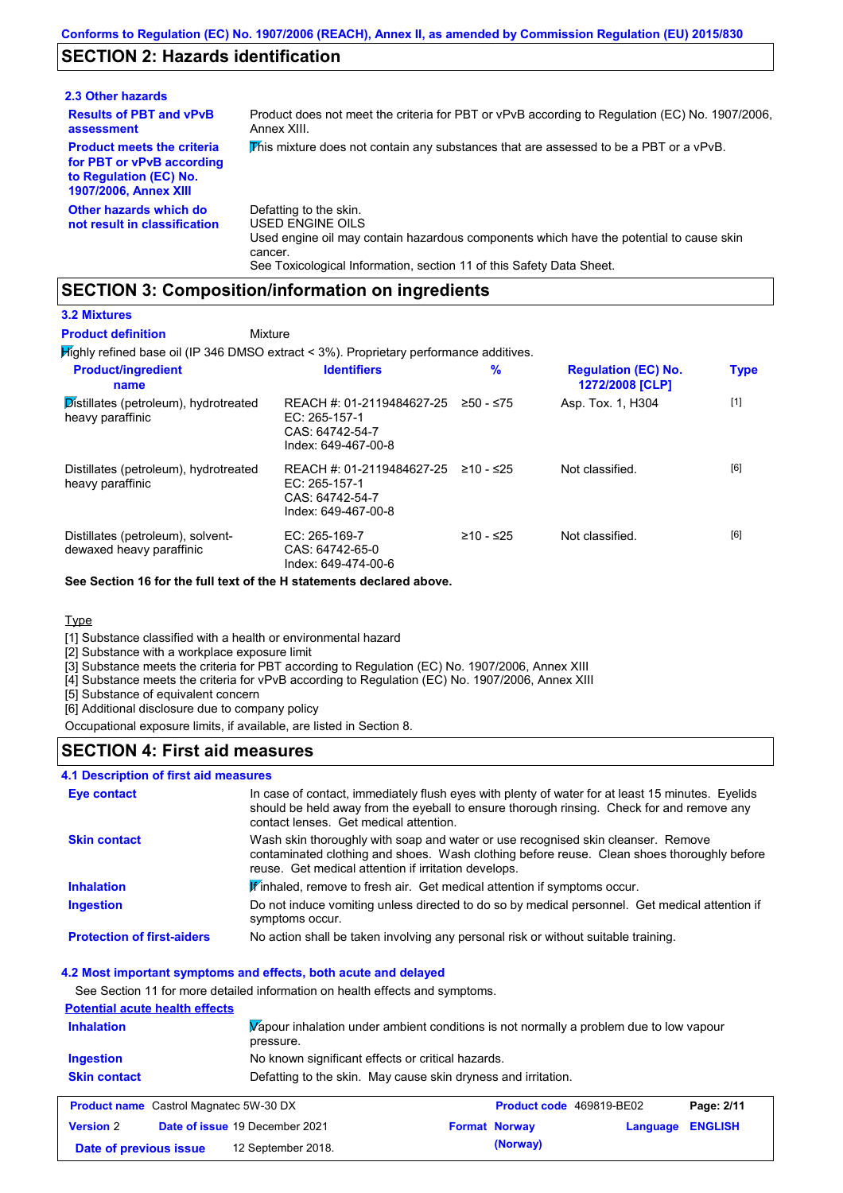## **SECTION 2: Hazards identification**

| 2.3 Other hazards                                                                                                        |                                                                                                                                                                                                                          |
|--------------------------------------------------------------------------------------------------------------------------|--------------------------------------------------------------------------------------------------------------------------------------------------------------------------------------------------------------------------|
| <b>Results of PBT and vPvB</b><br>assessment                                                                             | Product does not meet the criteria for PBT or vPvB according to Regulation (EC) No. 1907/2006,<br>Annex XIII.                                                                                                            |
| <b>Product meets the criteria</b><br>for PBT or vPvB according<br>to Regulation (EC) No.<br><b>1907/2006, Annex XIII</b> | This mixture does not contain any substances that are assessed to be a PBT or a vPvB.                                                                                                                                    |
| Other hazards which do<br>not result in classification                                                                   | Defatting to the skin.<br>USED ENGINE OILS<br>Used engine oil may contain hazardous components which have the potential to cause skin<br>cancer.<br>See Toxicological Information, section 11 of this Safety Data Sheet. |

### **SECTION 3: Composition/information on ingredients**

Mixture

### **3.2 Mixtures**

**Product definition**

Highly refined base oil (IP 346 DMSO extract < 3%). Proprietary performance additives.

| <b>Product/ingredient</b><br>name                             | <b>Identifiers</b>                                                                   | $\%$        | <b>Regulation (EC) No.</b><br>1272/2008 [CLP] | <b>Type</b> |
|---------------------------------------------------------------|--------------------------------------------------------------------------------------|-------------|-----------------------------------------------|-------------|
| Distillates (petroleum), hydrotreated<br>heavy paraffinic     | REACH #: 01-2119484627-25<br>EC: 265-157-1<br>CAS: 64742-54-7<br>Index: 649-467-00-8 | ≥50 - ≤75   | Asp. Tox. 1, H304                             | $[1]$       |
| Distillates (petroleum), hydrotreated<br>heavy paraffinic     | REACH #: 01-2119484627-25<br>EC: 265-157-1<br>CAS: 64742-54-7<br>Index: 649-467-00-8 | ≥10 - ≤25   | Not classified.                               | [6]         |
| Distillates (petroleum), solvent-<br>dewaxed heavy paraffinic | $EC: 265-169-7$<br>CAS: 64742-65-0<br>Index: 649-474-00-6                            | $≥10 - ≤25$ | Not classified.                               | [6]         |

**See Section 16 for the full text of the H statements declared above.**

### **Type**

[1] Substance classified with a health or environmental hazard

[2] Substance with a workplace exposure limit

[3] Substance meets the criteria for PBT according to Regulation (EC) No. 1907/2006, Annex XIII

[4] Substance meets the criteria for vPvB according to Regulation (EC) No. 1907/2006, Annex XIII

**Date of previous issue (Norway)** 12 September 2018.

[5] Substance of equivalent concern

[6] Additional disclosure due to company policy

Occupational exposure limits, if available, are listed in Section 8.

### **SECTION 4: First aid measures**

#### **4.1 Description of first aid measures**

| Eye contact                                                                  | contact lenses. Get medical attention.               | In case of contact, immediately flush eyes with plenty of water for at least 15 minutes. Eyelids<br>should be held away from the eyeball to ensure thorough rinsing. Check for and remove any |                          |                |
|------------------------------------------------------------------------------|------------------------------------------------------|-----------------------------------------------------------------------------------------------------------------------------------------------------------------------------------------------|--------------------------|----------------|
| <b>Skin contact</b>                                                          | reuse. Get medical attention if irritation develops. | Wash skin thoroughly with soap and water or use recognised skin cleanser. Remove<br>contaminated clothing and shoes. Wash clothing before reuse. Clean shoes thoroughly before                |                          |                |
| <b>Inhalation</b>                                                            |                                                      | <b>Finhaled, remove to fresh air.</b> Get medical attention if symptoms occur.                                                                                                                |                          |                |
| <b>Ingestion</b>                                                             | symptoms occur.                                      | Do not induce vomiting unless directed to do so by medical personnel. Get medical attention if                                                                                                |                          |                |
| <b>Protection of first-aiders</b>                                            |                                                      | No action shall be taken involving any personal risk or without suitable training.                                                                                                            |                          |                |
| 4.2 Most important symptoms and effects, both acute and delayed              |                                                      |                                                                                                                                                                                               |                          |                |
| See Section 11 for more detailed information on health effects and symptoms. |                                                      |                                                                                                                                                                                               |                          |                |
| <b>Potential acute health effects</b>                                        |                                                      |                                                                                                                                                                                               |                          |                |
| <b>Inhalation</b>                                                            | pressure.                                            | Vapour inhalation under ambient conditions is not normally a problem due to low vapour                                                                                                        |                          |                |
| Ingestion                                                                    | No known significant effects or critical hazards.    |                                                                                                                                                                                               |                          |                |
| <b>Skin contact</b>                                                          |                                                      | Defatting to the skin. May cause skin dryness and irritation.                                                                                                                                 |                          |                |
| <b>Product name</b> Castrol Magnatec 5W-30 DX                                |                                                      |                                                                                                                                                                                               | Product code 469819-BE02 | Page: 2/11     |
| <b>Version 2</b>                                                             | Date of issue 19 December 2021                       | <b>Format Norway</b>                                                                                                                                                                          | Language                 | <b>ENGLISH</b> |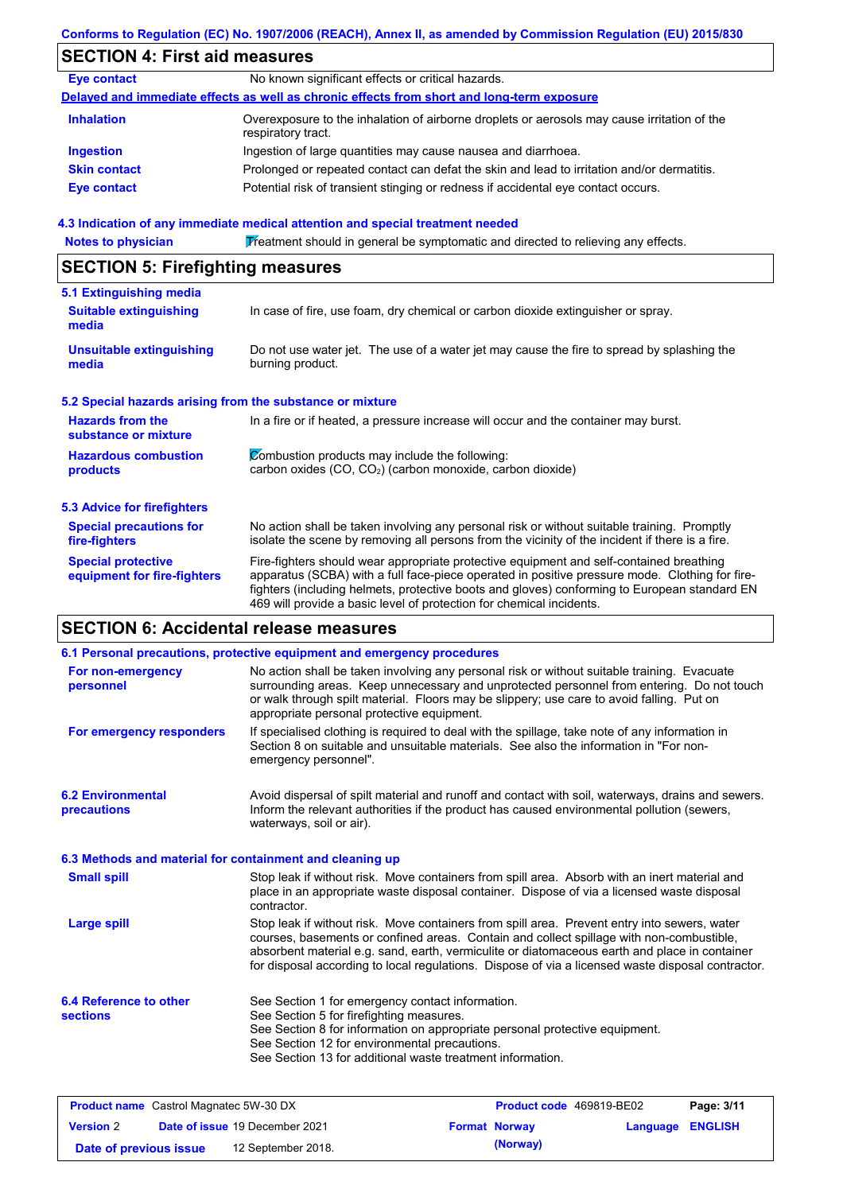### **Conforms to Regulation (EC) No. 1907/2006 (REACH), Annex II, as amended by Commission Regulation (EU) 2015/830**

## **SECTION 4: First aid measures**

| <b>Eye contact</b>  | No known significant effects or critical hazards.                                                                 |
|---------------------|-------------------------------------------------------------------------------------------------------------------|
|                     | Delayed and immediate effects as well as chronic effects from short and long-term exposure                        |
| <b>Inhalation</b>   | Overexposure to the inhalation of airborne droplets or aerosols may cause irritation of the<br>respiratory tract. |
| <b>Ingestion</b>    | Ingestion of large quantities may cause nausea and diarrhoea.                                                     |
| <b>Skin contact</b> | Prolonged or repeated contact can defat the skin and lead to irritation and/or dermatitis.                        |
| <b>Eye contact</b>  | Potential risk of transient stinging or redness if accidental eye contact occurs.                                 |
|                     |                                                                                                                   |

#### **4.3 Indication of any immediate medical attention and special treatment needed**

Notes to physician **Treatment should in general be symptomatic and directed to relieving any effects.** 

## **SECTION 5: Firefighting measures**

| 5.1 Extinguishing media                                   |                                                                                                                                                                                                                                                                                                                                                                   |
|-----------------------------------------------------------|-------------------------------------------------------------------------------------------------------------------------------------------------------------------------------------------------------------------------------------------------------------------------------------------------------------------------------------------------------------------|
| <b>Suitable extinguishing</b><br>media                    | In case of fire, use foam, dry chemical or carbon dioxide extinguisher or spray.                                                                                                                                                                                                                                                                                  |
| <b>Unsuitable extinguishing</b><br>media                  | Do not use water jet. The use of a water jet may cause the fire to spread by splashing the<br>burning product.                                                                                                                                                                                                                                                    |
| 5.2 Special hazards arising from the substance or mixture |                                                                                                                                                                                                                                                                                                                                                                   |
| <b>Hazards from the</b><br>substance or mixture           | In a fire or if heated, a pressure increase will occur and the container may burst.                                                                                                                                                                                                                                                                               |
| <b>Hazardous combustion</b><br>products                   | Combustion products may include the following:<br>carbon oxides $(CO, CO2)$ (carbon monoxide, carbon dioxide)                                                                                                                                                                                                                                                     |
| 5.3 Advice for firefighters                               |                                                                                                                                                                                                                                                                                                                                                                   |
| <b>Special precautions for</b><br>fire-fighters           | No action shall be taken involving any personal risk or without suitable training. Promptly<br>isolate the scene by removing all persons from the vicinity of the incident if there is a fire.                                                                                                                                                                    |
| <b>Special protective</b><br>equipment for fire-fighters  | Fire-fighters should wear appropriate protective equipment and self-contained breathing<br>apparatus (SCBA) with a full face-piece operated in positive pressure mode. Clothing for fire-<br>fighters (including helmets, protective boots and gloves) conforming to European standard EN<br>469 will provide a basic level of protection for chemical incidents. |

## **SECTION 6: Accidental release measures**

|                                                          | 6.1 Personal precautions, protective equipment and emergency procedures                                                                                                                                                                                                                                                                                                                        |
|----------------------------------------------------------|------------------------------------------------------------------------------------------------------------------------------------------------------------------------------------------------------------------------------------------------------------------------------------------------------------------------------------------------------------------------------------------------|
| For non-emergency<br>personnel                           | No action shall be taken involving any personal risk or without suitable training. Evacuate<br>surrounding areas. Keep unnecessary and unprotected personnel from entering. Do not touch<br>or walk through spilt material. Floors may be slippery; use care to avoid falling. Put on<br>appropriate personal protective equipment.                                                            |
| For emergency responders                                 | If specialised clothing is required to deal with the spillage, take note of any information in<br>Section 8 on suitable and unsuitable materials. See also the information in "For non-<br>emergency personnel".                                                                                                                                                                               |
| <b>6.2 Environmental</b><br><b>precautions</b>           | Avoid dispersal of spilt material and runoff and contact with soil, waterways, drains and sewers.<br>Inform the relevant authorities if the product has caused environmental pollution (sewers,<br>waterways, soil or air).                                                                                                                                                                    |
| 6.3 Methods and material for containment and cleaning up |                                                                                                                                                                                                                                                                                                                                                                                                |
| <b>Small spill</b>                                       | Stop leak if without risk. Move containers from spill area. Absorb with an inert material and<br>place in an appropriate waste disposal container. Dispose of via a licensed waste disposal<br>contractor.                                                                                                                                                                                     |
| Large spill                                              | Stop leak if without risk. Move containers from spill area. Prevent entry into sewers, water<br>courses, basements or confined areas. Contain and collect spillage with non-combustible,<br>absorbent material e.g. sand, earth, vermiculite or diatomaceous earth and place in container<br>for disposal according to local regulations. Dispose of via a licensed waste disposal contractor. |
| 6.4 Reference to other                                   | See Section 1 for emergency contact information.                                                                                                                                                                                                                                                                                                                                               |
| <b>sections</b>                                          | See Section 5 for firefighting measures.                                                                                                                                                                                                                                                                                                                                                       |
|                                                          | See Section 8 for information on appropriate personal protective equipment.                                                                                                                                                                                                                                                                                                                    |
|                                                          | See Section 12 for environmental precautions.                                                                                                                                                                                                                                                                                                                                                  |
|                                                          | See Section 13 for additional waste treatment information.                                                                                                                                                                                                                                                                                                                                     |
|                                                          |                                                                                                                                                                                                                                                                                                                                                                                                |

| <b>Product name</b> Castrol Magnatec 5W-30 DX |  | <b>Product code</b> 469819-BE02       |  | Page: 3/11           |                         |  |
|-----------------------------------------------|--|---------------------------------------|--|----------------------|-------------------------|--|
| <b>Version 2</b>                              |  | <b>Date of issue 19 December 2021</b> |  | <b>Format Norway</b> | <b>Language ENGLISH</b> |  |
| Date of previous issue                        |  | 12 September 2018.                    |  | (Norway)             |                         |  |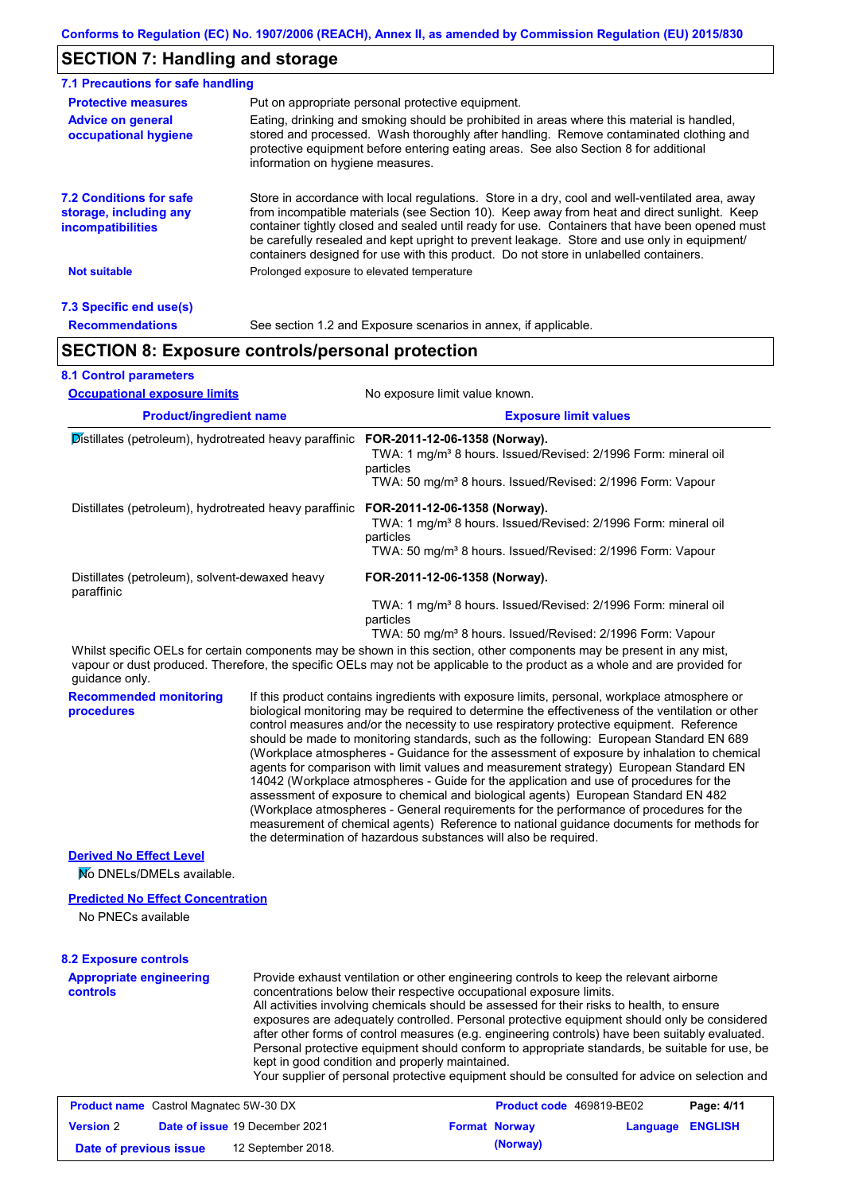## **SECTION 7: Handling and storage**

| 7.1 Precautions for safe handling                                                    |                                                                                                                                                                                                                                                                                                                                                                                                                                                                                          |
|--------------------------------------------------------------------------------------|------------------------------------------------------------------------------------------------------------------------------------------------------------------------------------------------------------------------------------------------------------------------------------------------------------------------------------------------------------------------------------------------------------------------------------------------------------------------------------------|
| <b>Protective measures</b>                                                           | Put on appropriate personal protective equipment.                                                                                                                                                                                                                                                                                                                                                                                                                                        |
| <b>Advice on general</b><br>occupational hygiene                                     | Eating, drinking and smoking should be prohibited in areas where this material is handled,<br>stored and processed. Wash thoroughly after handling. Remove contaminated clothing and<br>protective equipment before entering eating areas. See also Section 8 for additional<br>information on hygiene measures.                                                                                                                                                                         |
| <b>7.2 Conditions for safe</b><br>storage, including any<br><i>incompatibilities</i> | Store in accordance with local regulations. Store in a dry, cool and well-ventilated area, away<br>from incompatible materials (see Section 10). Keep away from heat and direct sunlight. Keep<br>container tightly closed and sealed until ready for use. Containers that have been opened must<br>be carefully resealed and kept upright to prevent leakage. Store and use only in equipment/<br>containers designed for use with this product. Do not store in unlabelled containers. |
| <b>Not suitable</b>                                                                  | Prolonged exposure to elevated temperature                                                                                                                                                                                                                                                                                                                                                                                                                                               |
| 7.3 Specific end use(s)                                                              |                                                                                                                                                                                                                                                                                                                                                                                                                                                                                          |
| <b>Recommendations</b>                                                               | See section 1.2 and Exposure scenarios in annex, if applicable.                                                                                                                                                                                                                                                                                                                                                                                                                          |
|                                                                                      | <b>SECTION 8: Exposure controls/personal protection</b>                                                                                                                                                                                                                                                                                                                                                                                                                                  |
| <b>8.1 Control parameters</b>                                                        |                                                                                                                                                                                                                                                                                                                                                                                                                                                                                          |

| <b>Occupational exposure limits</b><br><b>Product/ingredient name</b><br><b>Distillates (petroleum), hydrotreated heavy paraffinic FOR-2011-12-06-1358 (Norway).</b><br>Distillates (petroleum), hydrotreated heavy paraffinic FOR-2011-12-06-1358 (Norway). |  | No exposure limit value known.                                                                                                                                                                                                                                                                                                                                                                                                                                                                                                                                                                                                                                                                                                                                                                                                                                                                                                                                                                                             |  |                               |
|--------------------------------------------------------------------------------------------------------------------------------------------------------------------------------------------------------------------------------------------------------------|--|----------------------------------------------------------------------------------------------------------------------------------------------------------------------------------------------------------------------------------------------------------------------------------------------------------------------------------------------------------------------------------------------------------------------------------------------------------------------------------------------------------------------------------------------------------------------------------------------------------------------------------------------------------------------------------------------------------------------------------------------------------------------------------------------------------------------------------------------------------------------------------------------------------------------------------------------------------------------------------------------------------------------------|--|-------------------------------|
|                                                                                                                                                                                                                                                              |  | <b>Exposure limit values</b><br>TWA: 1 mg/m <sup>3</sup> 8 hours. Issued/Revised: 2/1996 Form: mineral oil<br>particles<br>TWA: 50 mg/m <sup>3</sup> 8 hours. Issued/Revised: 2/1996 Form: Vapour                                                                                                                                                                                                                                                                                                                                                                                                                                                                                                                                                                                                                                                                                                                                                                                                                          |  |                               |
|                                                                                                                                                                                                                                                              |  |                                                                                                                                                                                                                                                                                                                                                                                                                                                                                                                                                                                                                                                                                                                                                                                                                                                                                                                                                                                                                            |  |                               |
|                                                                                                                                                                                                                                                              |  | Distillates (petroleum), solvent-dewaxed heavy<br>paraffinic                                                                                                                                                                                                                                                                                                                                                                                                                                                                                                                                                                                                                                                                                                                                                                                                                                                                                                                                                               |  | FOR-2011-12-06-1358 (Norway). |
|                                                                                                                                                                                                                                                              |  | TWA: 1 mg/m <sup>3</sup> 8 hours. Issued/Revised: 2/1996 Form: mineral oil<br>particles<br>TWA: 50 mg/m <sup>3</sup> 8 hours. Issued/Revised: 2/1996 Form: Vapour                                                                                                                                                                                                                                                                                                                                                                                                                                                                                                                                                                                                                                                                                                                                                                                                                                                          |  |                               |
| guidance only.                                                                                                                                                                                                                                               |  | Whilst specific OELs for certain components may be shown in this section, other components may be present in any mist,<br>vapour or dust produced. Therefore, the specific OELs may not be applicable to the product as a whole and are provided for                                                                                                                                                                                                                                                                                                                                                                                                                                                                                                                                                                                                                                                                                                                                                                       |  |                               |
| <b>Recommended monitoring</b><br>procedures                                                                                                                                                                                                                  |  | If this product contains ingredients with exposure limits, personal, workplace atmosphere or<br>biological monitoring may be required to determine the effectiveness of the ventilation or other<br>control measures and/or the necessity to use respiratory protective equipment. Reference<br>should be made to monitoring standards, such as the following: European Standard EN 689<br>(Workplace atmospheres - Guidance for the assessment of exposure by inhalation to chemical<br>agents for comparison with limit values and measurement strategy) European Standard EN<br>14042 (Workplace atmospheres - Guide for the application and use of procedures for the<br>assessment of exposure to chemical and biological agents) European Standard EN 482<br>(Workplace atmospheres - General requirements for the performance of procedures for the<br>measurement of chemical agents) Reference to national guidance documents for methods for<br>the determination of hazardous substances will also be required. |  |                               |
| <b>Derived No Effect Level</b>                                                                                                                                                                                                                               |  |                                                                                                                                                                                                                                                                                                                                                                                                                                                                                                                                                                                                                                                                                                                                                                                                                                                                                                                                                                                                                            |  |                               |
| No DNELs/DMELs available.                                                                                                                                                                                                                                    |  |                                                                                                                                                                                                                                                                                                                                                                                                                                                                                                                                                                                                                                                                                                                                                                                                                                                                                                                                                                                                                            |  |                               |
| <b>Predicted No Effect Concentration</b>                                                                                                                                                                                                                     |  |                                                                                                                                                                                                                                                                                                                                                                                                                                                                                                                                                                                                                                                                                                                                                                                                                                                                                                                                                                                                                            |  |                               |
| No PNECs available                                                                                                                                                                                                                                           |  |                                                                                                                                                                                                                                                                                                                                                                                                                                                                                                                                                                                                                                                                                                                                                                                                                                                                                                                                                                                                                            |  |                               |
| <b>8.2 Exposure controls</b>                                                                                                                                                                                                                                 |  |                                                                                                                                                                                                                                                                                                                                                                                                                                                                                                                                                                                                                                                                                                                                                                                                                                                                                                                                                                                                                            |  |                               |

**Appropriate engineering controls** Provide exhaust ventilation or other engineering controls to keep the relevant airborne concentrations below their respective occupational exposure limits. All activities involving chemicals should be assessed for their risks to health, to ensure exposures are adequately controlled. Personal protective equipment should only be considered after other forms of control measures (e.g. engineering controls) have been suitably evaluated.

Personal protective equipment should conform to appropriate standards, be suitable for use, be kept in good condition and properly maintained.

Your supplier of personal protective equipment should be consulted for advice on selection and

| <b>Product name</b> Castrol Magnatec 5W-30 DX |  | Product code 469819-BE02              |  | Page: 4/11           |                         |  |
|-----------------------------------------------|--|---------------------------------------|--|----------------------|-------------------------|--|
| <b>Version 2</b>                              |  | <b>Date of issue 19 December 2021</b> |  | <b>Format Norway</b> | <b>Language ENGLISH</b> |  |
| Date of previous issue                        |  | 12 September 2018.                    |  | (Norway)             |                         |  |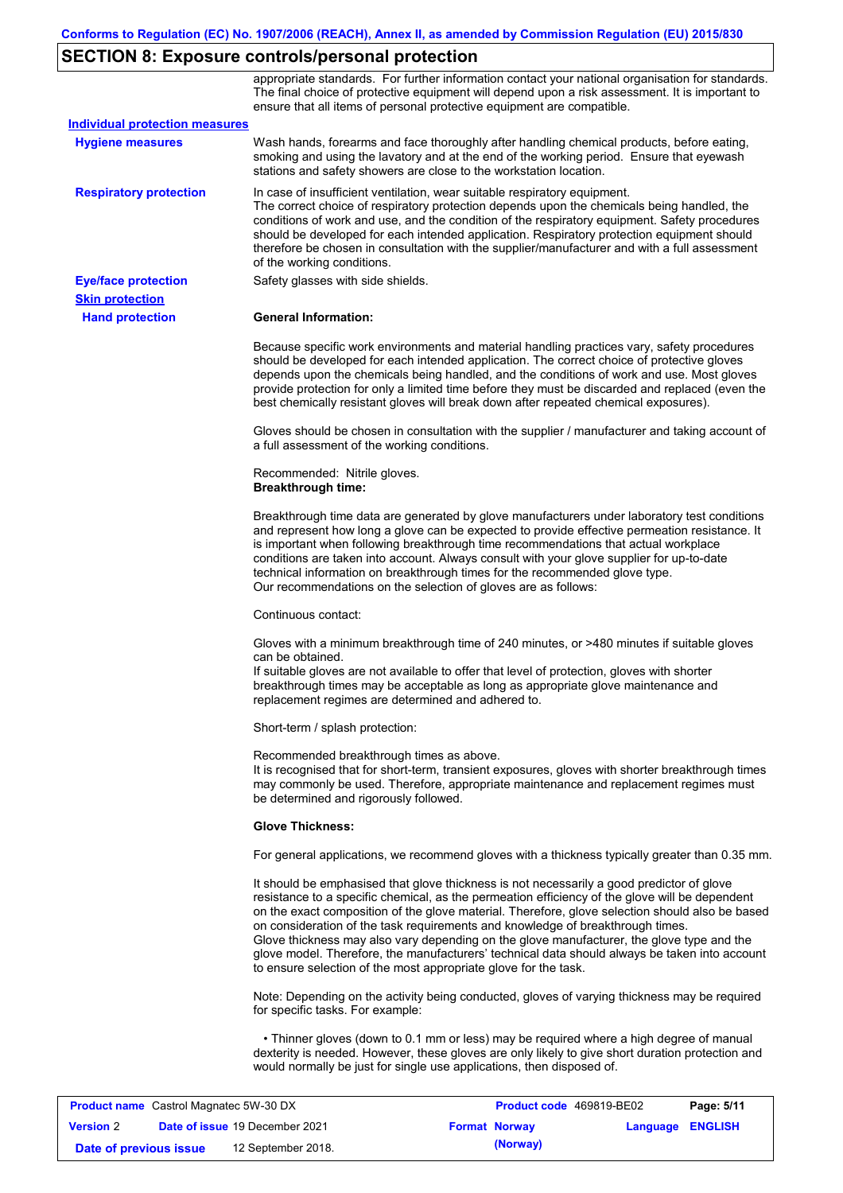# **SECTION 8: Exposure controls/personal protection**

|                                                                  | appropriate standards. For further information contact your national organisation for standards.<br>The final choice of protective equipment will depend upon a risk assessment. It is important to<br>ensure that all items of personal protective equipment are compatible.                                                                                                                                                                                                                                                                                                                                                                     |
|------------------------------------------------------------------|---------------------------------------------------------------------------------------------------------------------------------------------------------------------------------------------------------------------------------------------------------------------------------------------------------------------------------------------------------------------------------------------------------------------------------------------------------------------------------------------------------------------------------------------------------------------------------------------------------------------------------------------------|
| <b>Individual protection measures</b><br><b>Hygiene measures</b> | Wash hands, forearms and face thoroughly after handling chemical products, before eating,<br>smoking and using the lavatory and at the end of the working period. Ensure that eyewash<br>stations and safety showers are close to the workstation location.                                                                                                                                                                                                                                                                                                                                                                                       |
| <b>Respiratory protection</b>                                    | In case of insufficient ventilation, wear suitable respiratory equipment.<br>The correct choice of respiratory protection depends upon the chemicals being handled, the<br>conditions of work and use, and the condition of the respiratory equipment. Safety procedures<br>should be developed for each intended application. Respiratory protection equipment should<br>therefore be chosen in consultation with the supplier/manufacturer and with a full assessment<br>of the working conditions.                                                                                                                                             |
| <b>Eye/face protection</b>                                       | Safety glasses with side shields.                                                                                                                                                                                                                                                                                                                                                                                                                                                                                                                                                                                                                 |
| <b>Skin protection</b>                                           |                                                                                                                                                                                                                                                                                                                                                                                                                                                                                                                                                                                                                                                   |
| <b>Hand protection</b>                                           | <b>General Information:</b>                                                                                                                                                                                                                                                                                                                                                                                                                                                                                                                                                                                                                       |
|                                                                  | Because specific work environments and material handling practices vary, safety procedures<br>should be developed for each intended application. The correct choice of protective gloves<br>depends upon the chemicals being handled, and the conditions of work and use. Most gloves<br>provide protection for only a limited time before they must be discarded and replaced (even the<br>best chemically resistant gloves will break down after repeated chemical exposures).                                                                                                                                                                  |
|                                                                  | Gloves should be chosen in consultation with the supplier / manufacturer and taking account of<br>a full assessment of the working conditions.                                                                                                                                                                                                                                                                                                                                                                                                                                                                                                    |
|                                                                  | Recommended: Nitrile gloves.<br><b>Breakthrough time:</b>                                                                                                                                                                                                                                                                                                                                                                                                                                                                                                                                                                                         |
|                                                                  | Breakthrough time data are generated by glove manufacturers under laboratory test conditions<br>and represent how long a glove can be expected to provide effective permeation resistance. It<br>is important when following breakthrough time recommendations that actual workplace<br>conditions are taken into account. Always consult with your glove supplier for up-to-date<br>technical information on breakthrough times for the recommended glove type.<br>Our recommendations on the selection of gloves are as follows:                                                                                                                |
|                                                                  | Continuous contact:                                                                                                                                                                                                                                                                                                                                                                                                                                                                                                                                                                                                                               |
|                                                                  | Gloves with a minimum breakthrough time of 240 minutes, or >480 minutes if suitable gloves<br>can be obtained.<br>If suitable gloves are not available to offer that level of protection, gloves with shorter<br>breakthrough times may be acceptable as long as appropriate glove maintenance and<br>replacement regimes are determined and adhered to.                                                                                                                                                                                                                                                                                          |
|                                                                  | Short-term / splash protection:                                                                                                                                                                                                                                                                                                                                                                                                                                                                                                                                                                                                                   |
|                                                                  | Recommended breakthrough times as above.<br>It is recognised that for short-term, transient exposures, gloves with shorter breakthrough times<br>may commonly be used. Therefore, appropriate maintenance and replacement regimes must<br>be determined and rigorously followed.                                                                                                                                                                                                                                                                                                                                                                  |
|                                                                  | <b>Glove Thickness:</b>                                                                                                                                                                                                                                                                                                                                                                                                                                                                                                                                                                                                                           |
|                                                                  | For general applications, we recommend gloves with a thickness typically greater than 0.35 mm.                                                                                                                                                                                                                                                                                                                                                                                                                                                                                                                                                    |
|                                                                  | It should be emphasised that glove thickness is not necessarily a good predictor of glove<br>resistance to a specific chemical, as the permeation efficiency of the glove will be dependent<br>on the exact composition of the glove material. Therefore, glove selection should also be based<br>on consideration of the task requirements and knowledge of breakthrough times.<br>Glove thickness may also vary depending on the glove manufacturer, the glove type and the<br>glove model. Therefore, the manufacturers' technical data should always be taken into account<br>to ensure selection of the most appropriate glove for the task. |
|                                                                  | Note: Depending on the activity being conducted, gloves of varying thickness may be required<br>for specific tasks. For example:                                                                                                                                                                                                                                                                                                                                                                                                                                                                                                                  |
|                                                                  | • Thinner gloves (down to 0.1 mm or less) may be required where a high degree of manual<br>dexterity is needed. However, these gloves are only likely to give short duration protection and<br>would normally be just for single use applications, then disposed of.                                                                                                                                                                                                                                                                                                                                                                              |

| <b>Product name</b> Castrol Magnatec 5W-30 DX |  |                                       | <b>Product code</b> 469819-BE02 |                      | Page: 5/11              |  |
|-----------------------------------------------|--|---------------------------------------|---------------------------------|----------------------|-------------------------|--|
| <b>Version 2</b>                              |  | <b>Date of issue 19 December 2021</b> |                                 | <b>Format Norway</b> | <b>Language ENGLISH</b> |  |
| Date of previous issue                        |  | 12 September 2018.                    |                                 | (Norway)             |                         |  |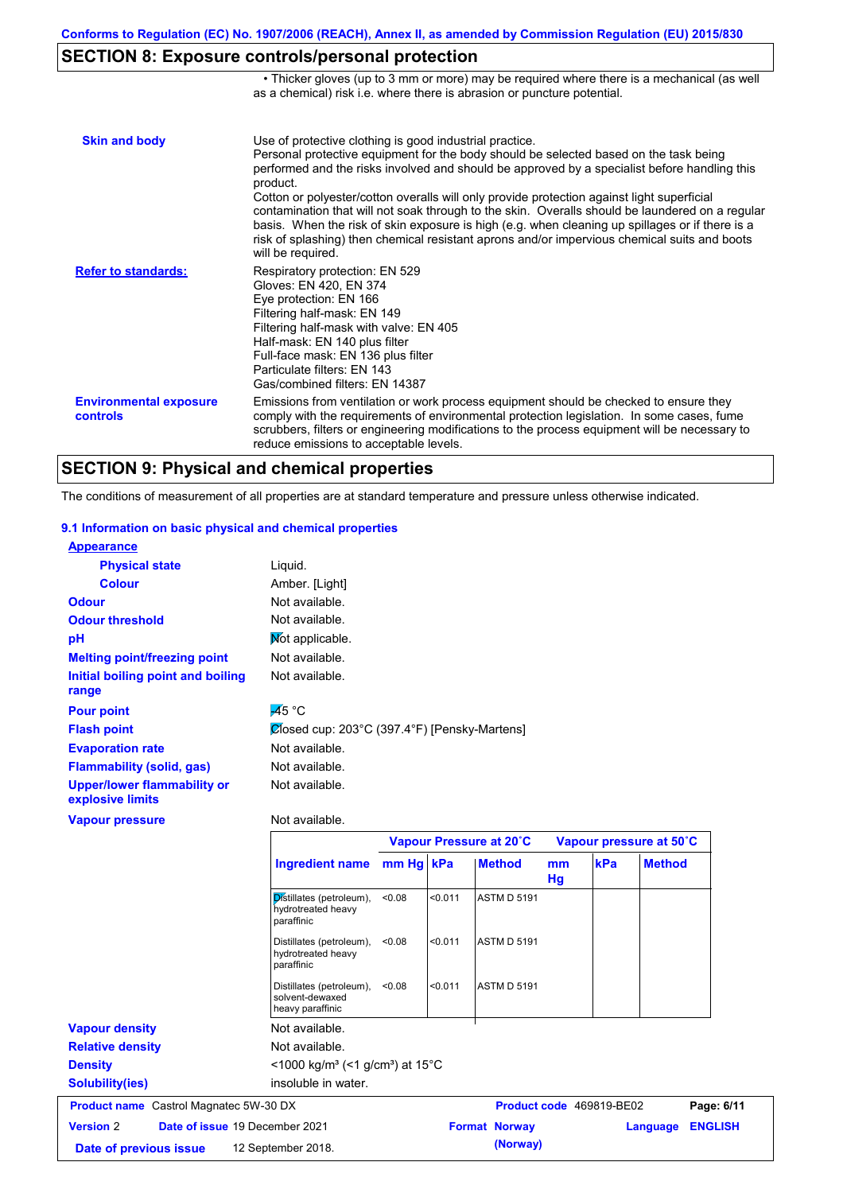## **SECTION 8: Exposure controls/personal protection**

|                                           | • Thicker gloves (up to 3 mm or more) may be required where there is a mechanical (as well<br>as a chemical) risk i.e. where there is abrasion or puncture potential.                                                                                                                                                                                                                                                                                                                                                                                                                                                                                                                 |
|-------------------------------------------|---------------------------------------------------------------------------------------------------------------------------------------------------------------------------------------------------------------------------------------------------------------------------------------------------------------------------------------------------------------------------------------------------------------------------------------------------------------------------------------------------------------------------------------------------------------------------------------------------------------------------------------------------------------------------------------|
| <b>Skin and body</b>                      | Use of protective clothing is good industrial practice.<br>Personal protective equipment for the body should be selected based on the task being<br>performed and the risks involved and should be approved by a specialist before handling this<br>product.<br>Cotton or polyester/cotton overalls will only provide protection against light superficial<br>contamination that will not soak through to the skin. Overalls should be laundered on a regular<br>basis. When the risk of skin exposure is high (e.g. when cleaning up spillages or if there is a<br>risk of splashing) then chemical resistant aprons and/or impervious chemical suits and boots<br>will be required. |
| <b>Refer to standards:</b>                | Respiratory protection: EN 529<br>Gloves: EN 420, EN 374<br>Eye protection: EN 166<br>Filtering half-mask: EN 149<br>Filtering half-mask with valve: EN 405<br>Half-mask: EN 140 plus filter<br>Full-face mask: EN 136 plus filter<br>Particulate filters: FN 143<br>Gas/combined filters: EN 14387                                                                                                                                                                                                                                                                                                                                                                                   |
| <b>Environmental exposure</b><br>controls | Emissions from ventilation or work process equipment should be checked to ensure they<br>comply with the requirements of environmental protection legislation. In some cases, fume<br>scrubbers, filters or engineering modifications to the process equipment will be necessary to<br>reduce emissions to acceptable levels.                                                                                                                                                                                                                                                                                                                                                         |

## **SECTION 9: Physical and chemical properties**

The conditions of measurement of all properties are at standard temperature and pressure unless otherwise indicated.

#### **9.1 Information on basic physical and chemical properties**

| <b>Appearance</b>                                      |                                              |
|--------------------------------------------------------|----------------------------------------------|
| <b>Physical state</b>                                  | Liquid.                                      |
| <b>Colour</b>                                          | Amber. [Light]                               |
| <b>Odour</b>                                           | Not available.                               |
| <b>Odour threshold</b>                                 | Not available.                               |
| pH                                                     | Mot applicable.                              |
| <b>Melting point/freezing point</b>                    | Not available.                               |
| Initial boiling point and boiling                      | Not available.                               |
| range                                                  |                                              |
| <b>Pour point</b>                                      | $\overline{A}5^{\circ}C$                     |
| <b>Flash point</b>                                     | Ølosed cup: 203°C (397.4°F) [Pensky-Martens] |
| <b>Evaporation rate</b>                                | Not available.                               |
| Flammability (solid, gas)                              | Not available.                               |
| <b>Upper/lower flammability or</b><br>explosive limits | Not available.                               |
| <b>Vapour pressure</b>                                 | Not available.                               |

|                                                    |                                                                         | Vapour Pressure at 20°C |         |                      |                     | Vapour pressure at 50°C  |               |                |
|----------------------------------------------------|-------------------------------------------------------------------------|-------------------------|---------|----------------------|---------------------|--------------------------|---------------|----------------|
|                                                    | <b>Ingredient name</b>                                                  | mm Hg kPa               |         | <b>Method</b>        | <sub>mm</sub><br>Hg | kPa                      | <b>Method</b> |                |
|                                                    | Distillates (petroleum),<br>hydrotreated heavy<br>paraffinic            | < 0.08                  | < 0.011 | <b>ASTM D 5191</b>   |                     |                          |               |                |
|                                                    | Distillates (petroleum),<br>hydrotreated heavy<br>paraffinic            | < 0.08                  | < 0.011 | <b>ASTM D 5191</b>   |                     |                          |               |                |
|                                                    | Distillates (petroleum),<br>solvent-dewaxed<br>heavy paraffinic         | < 0.08                  | < 0.011 | <b>ASTM D 5191</b>   |                     |                          |               |                |
| <b>Vapour density</b>                              | Not available.                                                          |                         |         |                      |                     |                          |               |                |
| <b>Relative density</b>                            | Not available.                                                          |                         |         |                      |                     |                          |               |                |
| <b>Density</b>                                     | $<$ 1000 kg/m <sup>3</sup> (<1 g/cm <sup>3</sup> ) at 15 <sup>°</sup> C |                         |         |                      |                     |                          |               |                |
| Solubility(ies)                                    | insoluble in water.                                                     |                         |         |                      |                     |                          |               |                |
| <b>Product name</b> Castrol Magnatec 5W-30 DX      |                                                                         |                         |         |                      |                     | Product code 469819-BE02 |               | Page: 6/11     |
| <b>Version</b> 2<br>Date of issue 19 December 2021 |                                                                         |                         |         | <b>Format Norway</b> |                     |                          | Language      | <b>ENGLISH</b> |
| Date of previous issue                             | 12 September 2018.                                                      |                         |         | (Norway)             |                     |                          |               |                |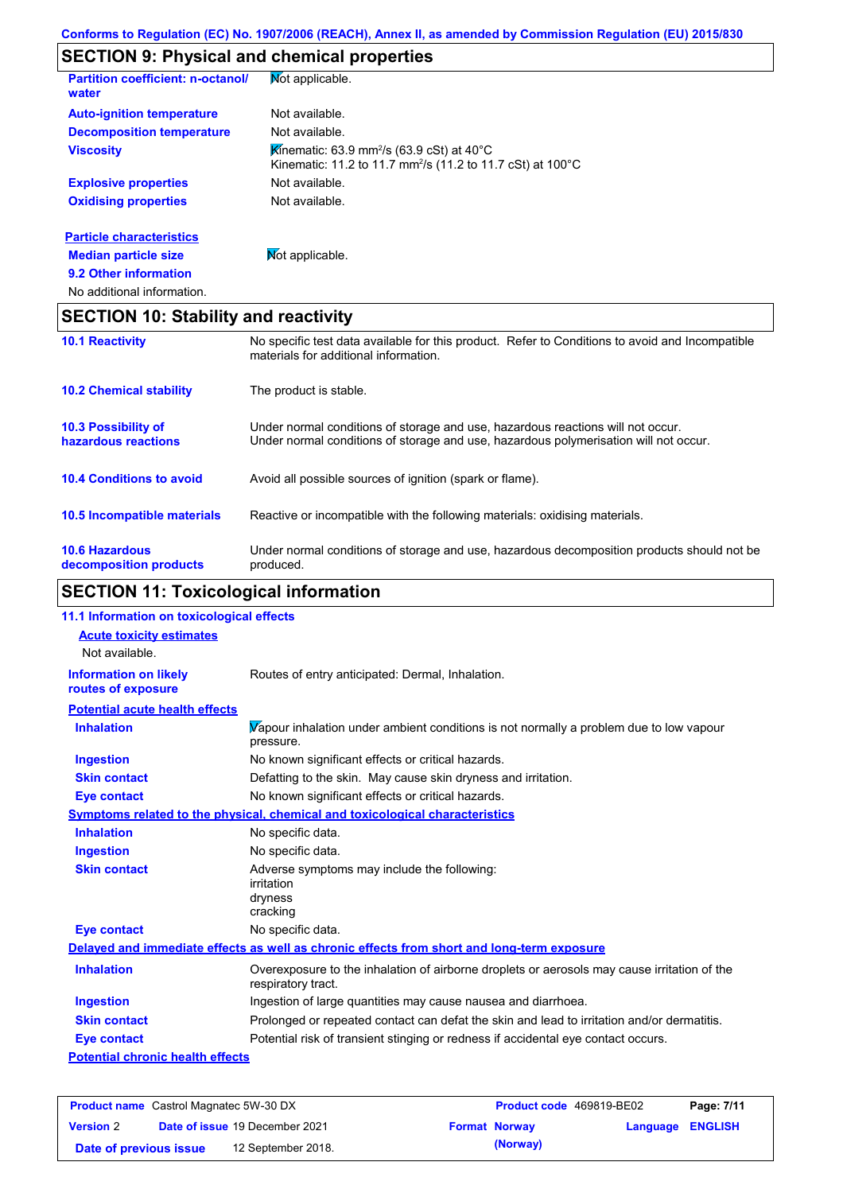# **SECTION 9: Physical and chemical properties**

| Partition coefficient: n-octanol/<br>water | Mot applicable.                                                                                                                                     |
|--------------------------------------------|-----------------------------------------------------------------------------------------------------------------------------------------------------|
| <b>Auto-ignition temperature</b>           | Not available.                                                                                                                                      |
| <b>Decomposition temperature</b>           | Not available.                                                                                                                                      |
| <b>Viscosity</b>                           | <b>K</b> inematic: 63.9 mm <sup>2</sup> /s (63.9 cSt) at 40 $^{\circ}$ C<br>Kinematic: 11.2 to 11.7 mm <sup>2</sup> /s (11.2 to 11.7 cSt) at 100 °C |
| <b>Explosive properties</b>                | Not available.                                                                                                                                      |
| <b>Oxidising properties</b>                | Not available.                                                                                                                                      |
| <b>Particle characteristics</b>            |                                                                                                                                                     |
| <b>Median particle size</b>                | Mot applicable.                                                                                                                                     |
| 9.2 Other information                      |                                                                                                                                                     |
| No additional information.                 |                                                                                                                                                     |

## **SECTION 10: Stability and reactivity**

| <b>10.1 Reactivity</b>                            | No specific test data available for this product. Refer to Conditions to avoid and Incompatible<br>materials for additional information.                                |
|---------------------------------------------------|-------------------------------------------------------------------------------------------------------------------------------------------------------------------------|
| <b>10.2 Chemical stability</b>                    | The product is stable.                                                                                                                                                  |
| <b>10.3 Possibility of</b><br>hazardous reactions | Under normal conditions of storage and use, hazardous reactions will not occur.<br>Under normal conditions of storage and use, hazardous polymerisation will not occur. |
| <b>10.4 Conditions to avoid</b>                   | Avoid all possible sources of ignition (spark or flame).                                                                                                                |
| 10.5 Incompatible materials                       | Reactive or incompatible with the following materials: oxidising materials.                                                                                             |
| <b>10.6 Hazardous</b><br>decomposition products   | Under normal conditions of storage and use, hazardous decomposition products should not be<br>produced.                                                                 |

# **SECTION 11: Toxicological information**

| 11.1 Information on toxicological effects |                                                                                                                   |
|-------------------------------------------|-------------------------------------------------------------------------------------------------------------------|
| <b>Acute toxicity estimates</b>           |                                                                                                                   |
| Not available.                            |                                                                                                                   |
| <b>Information on likely</b>              | Routes of entry anticipated: Dermal, Inhalation.                                                                  |
| routes of exposure                        |                                                                                                                   |
| <b>Potential acute health effects</b>     |                                                                                                                   |
| <b>Inhalation</b>                         | Vapour inhalation under ambient conditions is not normally a problem due to low vapour<br>pressure.               |
| <b>Ingestion</b>                          | No known significant effects or critical hazards.                                                                 |
| <b>Skin contact</b>                       | Defatting to the skin. May cause skin dryness and irritation.                                                     |
| <b>Eye contact</b>                        | No known significant effects or critical hazards.                                                                 |
|                                           | Symptoms related to the physical, chemical and toxicological characteristics                                      |
| <b>Inhalation</b>                         | No specific data.                                                                                                 |
| <b>Ingestion</b>                          | No specific data.                                                                                                 |
| <b>Skin contact</b>                       | Adverse symptoms may include the following:<br>irritation<br>dryness<br>cracking                                  |
| <b>Eye contact</b>                        | No specific data.                                                                                                 |
|                                           | Delayed and immediate effects as well as chronic effects from short and long-term exposure                        |
| <b>Inhalation</b>                         | Overexposure to the inhalation of airborne droplets or aerosols may cause irritation of the<br>respiratory tract. |
| <b>Ingestion</b>                          | Ingestion of large quantities may cause nausea and diarrhoea.                                                     |
| <b>Skin contact</b>                       | Prolonged or repeated contact can defat the skin and lead to irritation and/or dermatitis.                        |
| <b>Eye contact</b>                        | Potential risk of transient stinging or redness if accidental eye contact occurs.                                 |
| <b>Potential chronic health effects</b>   |                                                                                                                   |
|                                           |                                                                                                                   |

| <b>Product name</b> Castrol Magnatec 5W-30 DX |  |                                       | <b>Product code</b> 469819-BE02 |                      | Page: 7/11              |  |
|-----------------------------------------------|--|---------------------------------------|---------------------------------|----------------------|-------------------------|--|
| <b>Version 2</b>                              |  | <b>Date of issue 19 December 2021</b> |                                 | <b>Format Norway</b> | <b>Language ENGLISH</b> |  |
| Date of previous issue                        |  | 12 September 2018.                    |                                 | (Norway)             |                         |  |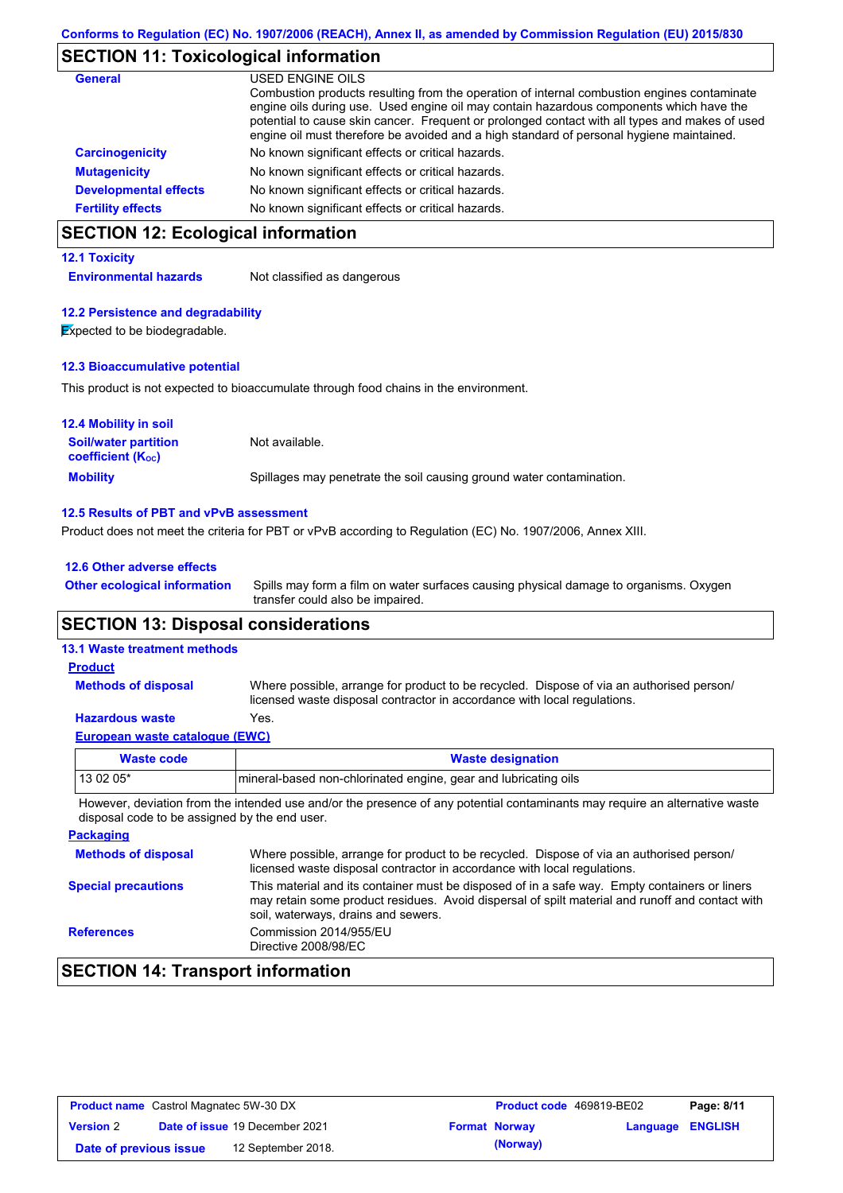### **SECTION 11: Toxicological information**

| General                      | USED ENGINE OILS<br>Combustion products resulting from the operation of internal combustion engines contaminate<br>engine oils during use. Used engine oil may contain hazardous components which have the<br>potential to cause skin cancer. Frequent or prolonged contact with all types and makes of used<br>engine oil must therefore be avoided and a high standard of personal hygiene maintained. |
|------------------------------|----------------------------------------------------------------------------------------------------------------------------------------------------------------------------------------------------------------------------------------------------------------------------------------------------------------------------------------------------------------------------------------------------------|
| <b>Carcinogenicity</b>       | No known significant effects or critical hazards.                                                                                                                                                                                                                                                                                                                                                        |
| <b>Mutagenicity</b>          | No known significant effects or critical hazards.                                                                                                                                                                                                                                                                                                                                                        |
| <b>Developmental effects</b> | No known significant effects or critical hazards.                                                                                                                                                                                                                                                                                                                                                        |
| <b>Fertility effects</b>     | No known significant effects or critical hazards.                                                                                                                                                                                                                                                                                                                                                        |

## **SECTION 12: Ecological information**

#### **12.1 Toxicity**

**Environmental hazards** Not classified as dangerous

#### **12.2 Persistence and degradability**

**Expected to be biodegradable.** 

#### **12.3 Bioaccumulative potential**

This product is not expected to bioaccumulate through food chains in the environment.

| <b>12.4 Mobility in soil</b>                            |                                                                      |
|---------------------------------------------------------|----------------------------------------------------------------------|
| <b>Soil/water partition</b><br><b>coefficient (Koc)</b> | Not available.                                                       |
| <b>Mobility</b>                                         | Spillages may penetrate the soil causing ground water contamination. |

#### **12.5 Results of PBT and vPvB assessment**

Product does not meet the criteria for PBT or vPvB according to Regulation (EC) No. 1907/2006, Annex XIII.

| 12.6 Other adverse effects          |                |
|-------------------------------------|----------------|
| <b>Other ecological information</b> | Spills may for |

Spills may form a film on water surfaces causing physical damage to organisms. Oxygen transfer could also be impaired.

### **SECTION 13: Disposal considerations**

### **13.1 Waste treatment methods**

**Methods of disposal**

**Product**

Where possible, arrange for product to be recycled. Dispose of via an authorised person/ licensed waste disposal contractor in accordance with local regulations.

#### **Hazardous waste** Yes.

|  | European waste catalogue (EWC) |  |  |
|--|--------------------------------|--|--|
|  |                                |  |  |

| Waste code                                                                                                                 | <b>Waste designation</b>                                        |  |  |  |  |
|----------------------------------------------------------------------------------------------------------------------------|-----------------------------------------------------------------|--|--|--|--|
| $130205*$                                                                                                                  | mineral-based non-chlorinated engine, gear and lubricating oils |  |  |  |  |
| However deviation from the intended use and/or the presence of any potential contaminants may require an alternative waste |                                                                 |  |  |  |  |

However, deviation from the intended use and/or the presence of any potential contaminants may disposal code to be assigned by the end user.

| <b>Packaging</b>           |                                                                                                                                                                                                                                         |
|----------------------------|-----------------------------------------------------------------------------------------------------------------------------------------------------------------------------------------------------------------------------------------|
| <b>Methods of disposal</b> | Where possible, arrange for product to be recycled. Dispose of via an authorised person/<br>licensed waste disposal contractor in accordance with local regulations.                                                                    |
| <b>Special precautions</b> | This material and its container must be disposed of in a safe way. Empty containers or liners<br>may retain some product residues. Avoid dispersal of spilt material and runoff and contact with<br>soil, waterways, drains and sewers. |
| <b>References</b>          | Commission 2014/955/EU<br>Directive 2008/98/EC                                                                                                                                                                                          |

## **SECTION 14: Transport information**

| <b>Product name</b> Castrol Magnatec 5W-30 DX |  |                                       | <b>Product code</b> 469819-BE02 |                      | Page: 8/11              |  |
|-----------------------------------------------|--|---------------------------------------|---------------------------------|----------------------|-------------------------|--|
| <b>Version 2</b>                              |  | <b>Date of issue 19 December 2021</b> |                                 | <b>Format Norway</b> | <b>Language ENGLISH</b> |  |
| Date of previous issue                        |  | 12 September 2018.                    |                                 | (Norway)             |                         |  |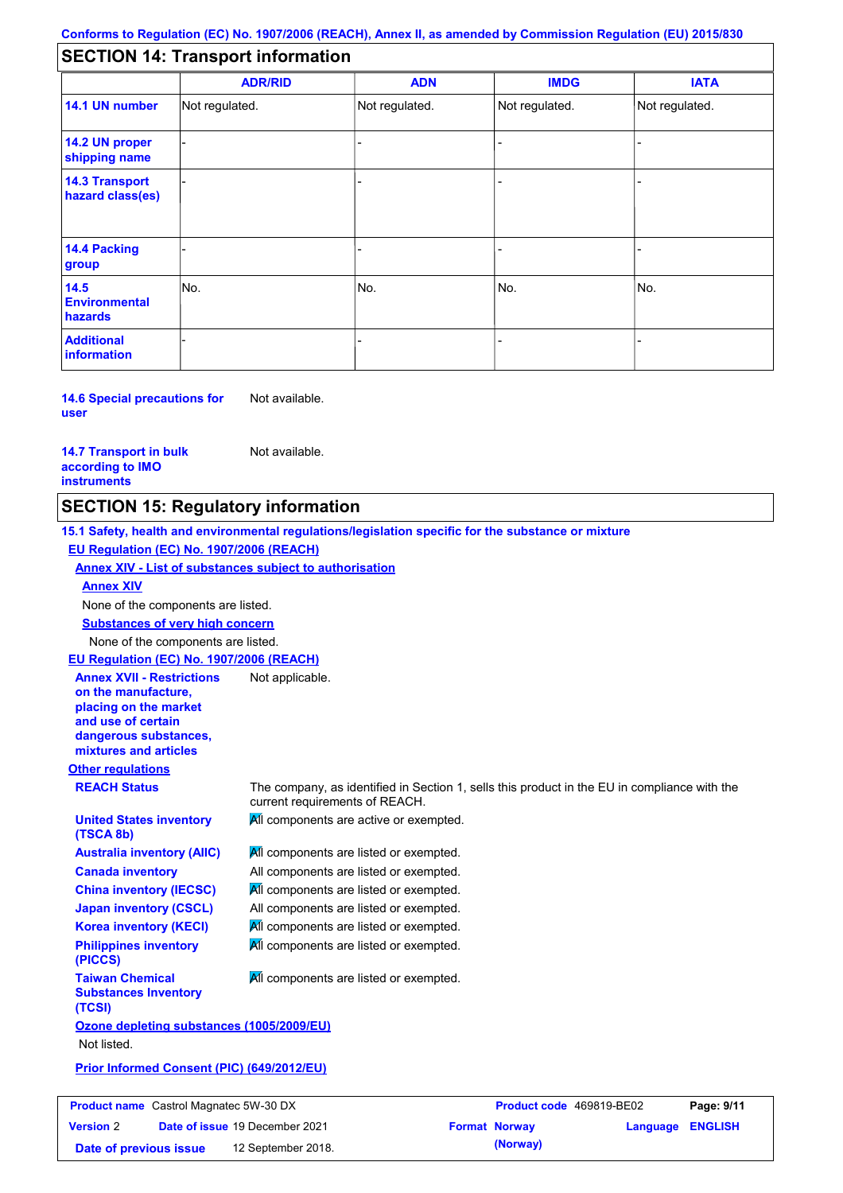## **SECTION 14: Transport information**

|                                           | <b>ADR/RID</b> | <b>ADN</b>     | <b>IMDG</b>    | <b>IATA</b>    |
|-------------------------------------------|----------------|----------------|----------------|----------------|
| 14.1 UN number                            | Not regulated. | Not regulated. | Not regulated. | Not regulated. |
| 14.2 UN proper<br>shipping name           |                |                |                |                |
| <b>14.3 Transport</b><br>hazard class(es) |                |                | ۰              |                |
| 14.4 Packing<br>group                     |                |                |                |                |
| 14.5<br><b>Environmental</b><br>hazards   | No.            | No.            | No.            | No.            |
| <b>Additional</b><br><b>information</b>   |                |                | -              |                |

**14.6 Special precautions for user** Not available.

**14.7 Transport in bulk according to IMO instruments**

Not available.

### **SECTION 15: Regulatory information**

**15.1 Safety, health and environmental regulations/legislation specific for the substance or mixture EU Regulation (EC) No. 1907/2006 (REACH)**

**Annex XIV - List of substances subject to authorisation**

**Annex XIV**

None of the components are listed.

**Substances of very high concern**

None of the components are listed.

**EU Regulation (EC) No. 1907/2006 (REACH)** Not applicable.

**Annex XVII - Restrictions on the manufacture, placing on the market and use of certain dangerous substances, mixtures and articles**

**United States inventory** 

**Other regulations**

**(TSCA 8b)**

**REACH Status** The company, as identified in Section 1, sells this product in the EU in compliance with the current requirements of REACH.

All components are active or exempted.

**Australia inventory (AIIC) Canada inventory China inventory (IECSC) Japan inventory (CSCL) Korea inventory (KECI) Philippines inventory (PICCS)**

**Taiwan Chemical Substances Inventory (TCSI)**

**All components are listed or exempted.** All components are listed or exempted. **All components are listed or exempted.** All components are listed or exempted.

**All components are listed or exempted.** 

All components are listed or exempted.

All components are listed or exempted.

**Ozone depleting substances (1005/2009/EU)** Not listed.

**Prior Informed Consent (PIC) (649/2012/EU)**

| <b>Product name</b> Castrol Magnatec 5W-30 DX |  |                                       | Product code 469819-BE02 |                      | Page: 9/11              |  |
|-----------------------------------------------|--|---------------------------------------|--------------------------|----------------------|-------------------------|--|
| <b>Version 2</b>                              |  | <b>Date of issue 19 December 2021</b> |                          | <b>Format Norway</b> | <b>Language ENGLISH</b> |  |
| Date of previous issue                        |  | 12 September 2018.                    |                          | (Norway)             |                         |  |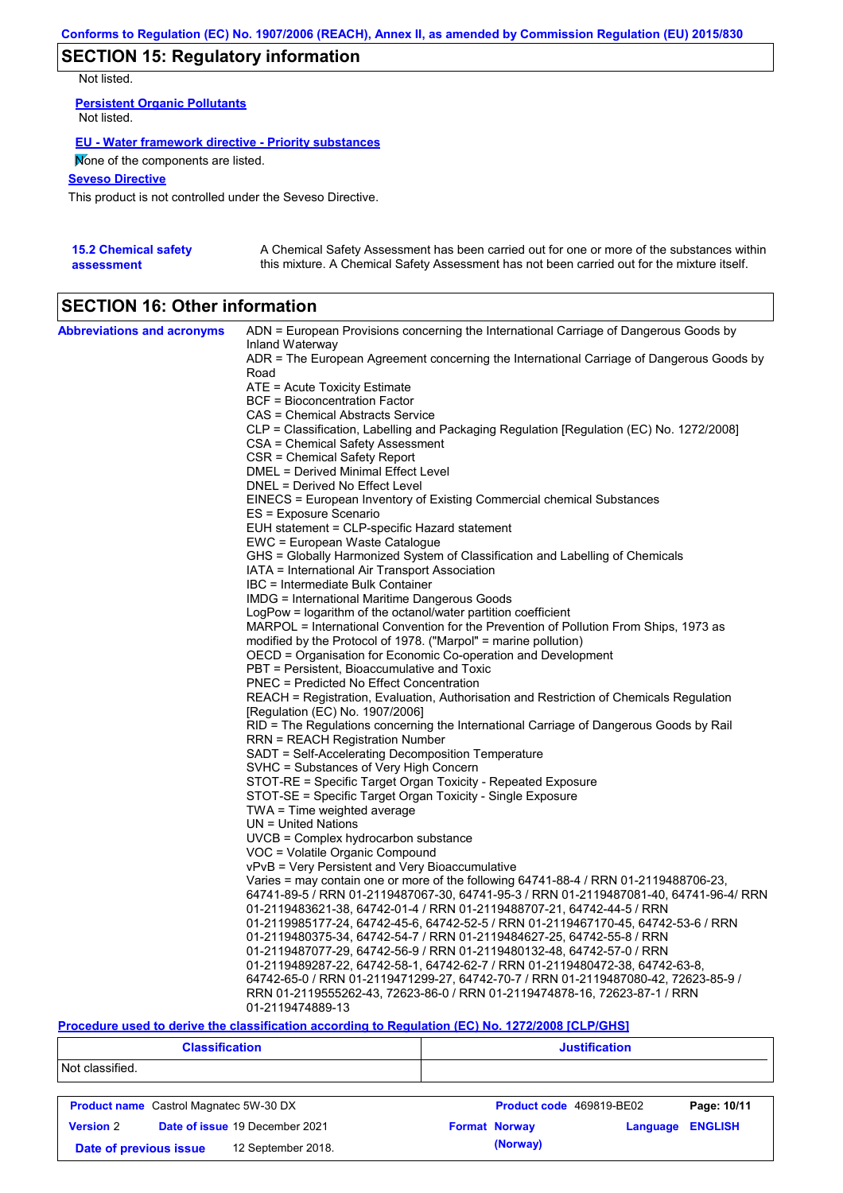## **SECTION 15: Regulatory information**

Not listed.

**Persistent Organic Pollutants** Not listed.

#### **EU - Water framework directive - Priority substances**

None of the components are listed.

### **Seveso Directive**

This product is not controlled under the Seveso Directive.

| <b>15.2 Chemical safety</b> | A Chemical Safety Assessment has been carried out for one or more of the substances within  |
|-----------------------------|---------------------------------------------------------------------------------------------|
| assessment                  | this mixture. A Chemical Safety Assessment has not been carried out for the mixture itself. |

## **SECTION 16: Other information**

| <b>Abbreviations and acronyms</b> | ADN = European Provisions concerning the International Carriage of Dangerous Goods by<br>Inland Waterway |
|-----------------------------------|----------------------------------------------------------------------------------------------------------|
|                                   | ADR = The European Agreement concerning the International Carriage of Dangerous Goods by<br>Road         |
|                                   | ATE = Acute Toxicity Estimate                                                                            |
|                                   | <b>BCF</b> = Bioconcentration Factor                                                                     |
|                                   | CAS = Chemical Abstracts Service                                                                         |
|                                   |                                                                                                          |
|                                   | CLP = Classification, Labelling and Packaging Regulation [Regulation (EC) No. 1272/2008]                 |
|                                   | CSA = Chemical Safety Assessment                                                                         |
|                                   | CSR = Chemical Safety Report                                                                             |
|                                   | DMEL = Derived Minimal Effect Level                                                                      |
|                                   | DNEL = Derived No Effect Level                                                                           |
|                                   | EINECS = European Inventory of Existing Commercial chemical Substances                                   |
|                                   | ES = Exposure Scenario                                                                                   |
|                                   | EUH statement = CLP-specific Hazard statement                                                            |
|                                   | EWC = European Waste Catalogue                                                                           |
|                                   | GHS = Globally Harmonized System of Classification and Labelling of Chemicals                            |
|                                   | IATA = International Air Transport Association                                                           |
|                                   | IBC = Intermediate Bulk Container                                                                        |
|                                   | IMDG = International Maritime Dangerous Goods                                                            |
|                                   | LogPow = logarithm of the octanol/water partition coefficient                                            |
|                                   | MARPOL = International Convention for the Prevention of Pollution From Ships, 1973 as                    |
|                                   | modified by the Protocol of 1978. ("Marpol" = marine pollution)                                          |
|                                   | OECD = Organisation for Economic Co-operation and Development                                            |
|                                   | PBT = Persistent, Bioaccumulative and Toxic                                                              |
|                                   | <b>PNEC</b> = Predicted No Effect Concentration                                                          |
|                                   | REACH = Registration, Evaluation, Authorisation and Restriction of Chemicals Regulation                  |
|                                   | [Regulation (EC) No. 1907/2006]                                                                          |
|                                   | RID = The Regulations concerning the International Carriage of Dangerous Goods by Rail                   |
|                                   | RRN = REACH Registration Number                                                                          |
|                                   | SADT = Self-Accelerating Decomposition Temperature                                                       |
|                                   | SVHC = Substances of Very High Concern                                                                   |
|                                   | STOT-RE = Specific Target Organ Toxicity - Repeated Exposure                                             |
|                                   | STOT-SE = Specific Target Organ Toxicity - Single Exposure                                               |
|                                   | TWA = Time weighted average                                                                              |
|                                   | $UN = United Nations$                                                                                    |
|                                   | $UVCB = Complex\;hydrocarbon\; substance$                                                                |
|                                   | VOC = Volatile Organic Compound                                                                          |
|                                   | vPvB = Very Persistent and Very Bioaccumulative                                                          |
|                                   | Varies = may contain one or more of the following 64741-88-4 / RRN 01-2119488706-23,                     |
|                                   | 64741-89-5 / RRN 01-2119487067-30, 64741-95-3 / RRN 01-2119487081-40, 64741-96-4/ RRN                    |
|                                   |                                                                                                          |
|                                   | 01-2119483621-38, 64742-01-4 / RRN 01-2119488707-21, 64742-44-5 / RRN                                    |
|                                   | 01-2119985177-24, 64742-45-6, 64742-52-5 / RRN 01-2119467170-45, 64742-53-6 / RRN                        |
|                                   | 01-2119480375-34, 64742-54-7 / RRN 01-2119484627-25, 64742-55-8 / RRN                                    |
|                                   | 01-2119487077-29, 64742-56-9 / RRN 01-2119480132-48, 64742-57-0 / RRN                                    |
|                                   | 01-2119489287-22, 64742-58-1, 64742-62-7 / RRN 01-2119480472-38, 64742-63-8,                             |
|                                   | 64742-65-0 / RRN 01-2119471299-27, 64742-70-7 / RRN 01-2119487080-42, 72623-85-9 /                       |
|                                   | RRN 01-2119555262-43, 72623-86-0 / RRN 01-2119474878-16, 72623-87-1 / RRN                                |
|                                   | 01-2119474889-13                                                                                         |

#### **Procedure used to derive the classification according to Regulation (EC) No. 1272/2008 [CLP/GHS]**

|                  | <b>Classification</b>                         | <b>Justification</b>     |          |                |  |
|------------------|-----------------------------------------------|--------------------------|----------|----------------|--|
| Not classified.  |                                               |                          |          |                |  |
|                  | <b>Product name</b> Castrol Magnatec 5W-30 DX | Product code 469819-BE02 |          | Page: 10/11    |  |
| <b>Version 2</b> | Date of issue 19 December 2021                | <b>Format Norway</b>     | Language | <b>ENGLISH</b> |  |
|                  | 12 September 2018.<br>Date of previous issue  | (Norway)                 |          |                |  |